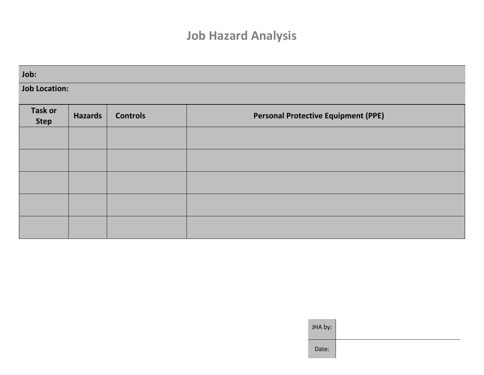## **Job Hazard Analysis**

| Job:                          |                |                 |                                            |  |  |  |  |  |  |
|-------------------------------|----------------|-----------------|--------------------------------------------|--|--|--|--|--|--|
| <b>Job Location:</b>          |                |                 |                                            |  |  |  |  |  |  |
| <b>Task or</b><br><b>Step</b> | <b>Hazards</b> | <b>Controls</b> | <b>Personal Protective Equipment (PPE)</b> |  |  |  |  |  |  |
|                               |                |                 |                                            |  |  |  |  |  |  |
|                               |                |                 |                                            |  |  |  |  |  |  |
|                               |                |                 |                                            |  |  |  |  |  |  |
|                               |                |                 |                                            |  |  |  |  |  |  |
|                               |                |                 |                                            |  |  |  |  |  |  |

| JHA by: |  |  |  |
|---------|--|--|--|
| Date:   |  |  |  |